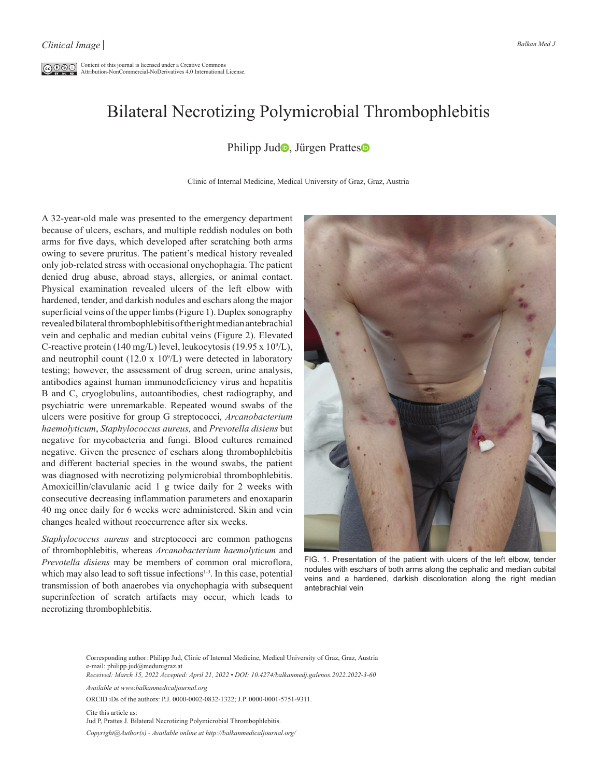$\overline{\mathbb{C}\mathbb{O}\mathbb{O}\mathbb{O}}$  Content of this journal is licensed under a Creative Commons Attribution-NonCommercial-NoDerivatives 4.0 International License.

## Bilateral Necrotizing Polymicrobial Thrombophlebitis

## Philipp Jud<sup>o</sup>, Jürgen Prattes<sup>o</sup>

Clinic of Internal Medicine, Medical University of Graz, Graz, Austria

A 32-year-old male was presented to the emergency department because of ulcers, eschars, and multiple reddish nodules on both arms for five days, which developed after scratching both arms owing to severe pruritus. The patient's medical history revealed only job-related stress with occasional onychophagia. The patient denied drug abuse, abroad stays, allergies, or animal contact. Physical examination revealed ulcers of the left elbow with hardened, tender, and darkish nodules and eschars along the major superficial veins of the upper limbs (Figure 1). Duplex sonography revealed bilateral thrombophlebitis of the right median antebrachial vein and cephalic and median cubital veins (Figure 2). Elevated C-reactive protein (140 mg/L) level, leukocytosis (19.95 x  $10^9$ /L), and neutrophil count  $(12.0 \times 10^9$ /L) were detected in laboratory testing; however, the assessment of drug screen, urine analysis, antibodies against human immunodeficiency virus and hepatitis B and C, cryoglobulins, autoantibodies, chest radiography, and psychiatric were unremarkable. Repeated wound swabs of the ulcers were positive for group G streptococci*, Arcanobacterium haemolyticum*, *Staphylococcus aureus,* and *Prevotella disiens* but negative for mycobacteria and fungi. Blood cultures remained negative. Given the presence of eschars along thrombophlebitis and different bacterial species in the wound swabs, the patient was diagnosed with necrotizing polymicrobial thrombophlebitis. Amoxicillin/clavulanic acid 1 g twice daily for 2 weeks with consecutive decreasing inflammation parameters and enoxaparin 40 mg once daily for 6 weeks were administered. Skin and vein changes healed without reoccurrence after six weeks.

*Staphylococcus aureus* and streptococci are common pathogens of thrombophlebitis, whereas *Arcanobacterium haemolyticum* and *Prevotella disiens* may be members of common oral microflora, which may also lead to soft tissue infections<sup>1-3</sup>. In this case, potential transmission of both anaerobes via onychophagia with subsequent superinfection of scratch artifacts may occur, which leads to necrotizing thrombophlebitis.



FIG. 1. Presentation of the patient with ulcers of the left elbow, tender nodules with eschars of both arms along the cephalic and median cubital veins and a hardened, darkish discoloration along the right median antebrachial vein

Corresponding author: Philipp Jud, Clinic of Internal Medicine, Medical University of Graz, Graz, Austria e-mail: philipp.jud@medunigraz.at

*Received: March 15, 2022 Accepted: April 21, 2022 • DOI: 10.4274/balkanmedj.galenos.2022.2022-3-60*

*Available at www.balkanmedicaljournal.org*

ORCID iDs of the authors: P.J. 0000-0002-0832-1322; J.P. 0000-0001-5751-9311.

Cite this article as: Jud P, Prattes J. Bilateral Necrotizing Polymicrobial Thrombophlebitis. *Copyright@Author(s) - Available online at http://balkanmedicaljournal.org/*